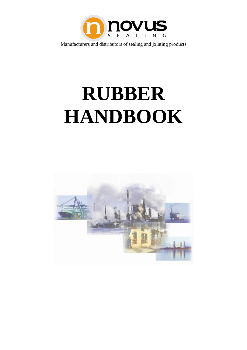

# **RUBBER HANDBOOK**

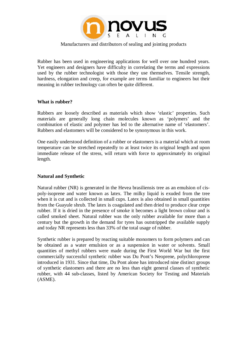

Rubber has been used in engineering applications for well over one hundred years. Yet engineers and designers have difficulty in correlating the terms and expressions used by the rubber technologist with those they use themselves. Tensile strength, hardness, elongation and creep, for example are terms familiar to engineers but their meaning in rubber technology can often be quite different.

#### **What is rubber?**

Rubbers are loosely described as materials which show 'elastic' properties. Such materials are generally long chain molecules known as 'polymers' and the combination of elastic and polymer has led to the alternative name of 'elastomers'. Rubbers and elastomers will be considered to be synonymous in this work.

One easily understood definition of a rubber or elastomers is a material which at room temperature can be stretched repeatedly to at least twice its original length and upon immediate release of the stress, will return with force to approximately its original length.

#### **Natural and Synthetic**

Natural rubber (NR) is generated in the Hevea brasiliensis tree as an emulsion of cispoly-isoprene and water known as latex. The milky liquid is exuded from the tree when it is cut and is collected in small cups. Latex is also obtained in small quantities from the Guayule shrub. The latex is coagulated and then dried to produce clear crepe rubber. If it is dried in the presence of smoke it becomes a light brown colour and is called smoked sheet. Natural rubber was the only rubber available for more than a century but the growth in the demand for tyres has outstripped the available supply and today NR represents less than 33% of the total usage of rubber.

Synthetic rubber is prepared by reacting suitable monomers to form polymers and can be obtained as a water emulsion or as a suspension in water or solvents. Small quantities of methyl rubbers were made during the First World War but the first commercially successful synthetic rubber was Du Pont's Neoprene, polychloroprene introduced in 1931. Since that time, Du Pont alone has introduced nine distinct groups of synthetic elastomers and there are no less than eight general classes of synthetic rubber, with 44 sub-classes, listed by American Society for Testing and Materials (ASME).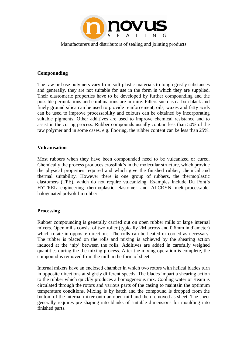

#### **Compounding**

The raw or base polymers vary from soft plastic materials to tough gristly substances and generally, they are not suitable for use in the form in which they are supplied. Their elastomeric properties have to be developed by further compounding and the possible permutations and combinations are infinite. Fillers such as carbon black and finely ground silica can be used to provide reinforcement; oils, waxes and fatty acids can be used to improve processability and colours can be obtained by incorporating suitable pigments. Other additives are used to improve chemical resistance and to assist in the curing process. Rubber compounds usually contain less than 50% of the raw polymer and in some cases, e.g. flooring, the rubber content can be less than 25%.

#### **Vulcanisation**

Most rubbers when they have been compounded need to be vulcanized or cured. Chemically the process produces crosslink's in the molecular structure, which provide the physical properties required and which give the finished rubber, chemical and thermal suitability. However there is one group of rubbers, the thermoplastic elastomers (TPE), which do not require vulcanizing. Examples include Du Pont's HYTREL engineering thermoplastic elastomer and ALCRYN melt-processable, halogenated polyolefin rubber.

#### **Processing**

Rubber compounding is generally carried out on open rubber mills or large internal mixers. Open mills consist of two roller (typically 2M across and 0.6mm in diameter) which rotate in opposite directions. The rolls can be heated or cooled as necessary. The rubber is placed on the rolls and mixing is achieved by the shearing action induced at the 'nip' between the rolls. Additives are added in carefully weighed quantities during the the mixing process. After the mixing operation is complete, the compound is removed from the mill in the form of sheet.

Internal mixers have an enclosed chamber in which two rotors with helical blades turn in opposite directions at slightly different speeds. The blades impart a shearing action to the rubber which quickly produces a homogeneous mix. Cooling water or steam is circulated through the rotors and various parts of the casing to maintain the optimum temperature conditions. Mixing is by batch and the compound is dropped from the bottom of the internal mixer onto an open mill and then removed as sheet. The sheet generally requires pre-shaping into blanks of suitable dimensions for moulding into finished parts.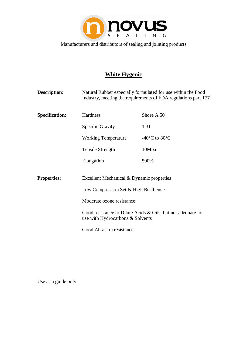

## **White Hygenic**

| Description:          | Natural Rubber especially formulated for use within the Food<br>Industry, meeting the requirements of FDA regulations part 177   |                                     |
|-----------------------|----------------------------------------------------------------------------------------------------------------------------------|-------------------------------------|
| <b>Specification:</b> | Hardness                                                                                                                         | Shore A 50                          |
|                       | Specific Gravity                                                                                                                 | 1.31                                |
|                       | <b>Working Temperature</b>                                                                                                       | -40 $^{\circ}$ C to 80 $^{\circ}$ C |
|                       | <b>Tensile Strength</b>                                                                                                          | 10Mpa                               |
|                       | Elongation                                                                                                                       | 500%                                |
| <b>Properties:</b>    | Excellent Mechanical & Dynamic properties                                                                                        |                                     |
|                       | Low Compression Set & High Resilience                                                                                            |                                     |
|                       | Moderate ozone resistance<br>Good resistance to Dilute Acids $\&$ Oils, but not adequate for<br>use with Hydrocarbons & Solvents |                                     |
|                       |                                                                                                                                  |                                     |
|                       | Good Abrasion resistance                                                                                                         |                                     |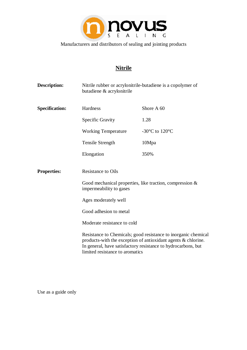

# **Nitrile**

| <b>Description:</b>   | butadiene & acrylonitrile                                                                                                                                                                                                           | Nitrile rubber or acrylonitrile-butadiene is a copolymer of |  |
|-----------------------|-------------------------------------------------------------------------------------------------------------------------------------------------------------------------------------------------------------------------------------|-------------------------------------------------------------|--|
| <b>Specification:</b> | Hardness                                                                                                                                                                                                                            | Shore A 60                                                  |  |
|                       | Specific Gravity                                                                                                                                                                                                                    | 1.28                                                        |  |
|                       | <b>Working Temperature</b>                                                                                                                                                                                                          | -30 $\rm{^{\circ}C}$ to 120 $\rm{^{\circ}C}$                |  |
|                       | <b>Tensile Strength</b>                                                                                                                                                                                                             | 10Mpa                                                       |  |
|                       | Elongation                                                                                                                                                                                                                          | 350%                                                        |  |
| <b>Properties:</b>    | <b>Resistance to Oils</b>                                                                                                                                                                                                           |                                                             |  |
|                       | impermeability to gases                                                                                                                                                                                                             | Good mechanical properties, like traction, compression $\&$ |  |
|                       | Ages moderately well<br>Good adhesion to metal                                                                                                                                                                                      |                                                             |  |
|                       |                                                                                                                                                                                                                                     |                                                             |  |
|                       | Moderate resistance to cold                                                                                                                                                                                                         |                                                             |  |
|                       | Resistance to Chemicals; good resistance to inorganic chemical<br>products-with the exception of antioxidant agents & chlorine.<br>In general, have satisfactory resistance to hydrocarbons, but<br>limited resistance to aromatics |                                                             |  |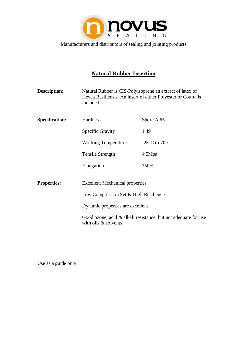

# **Natural Rubber Insertion**

| <b>Description:</b>   | Natural Rubber is CIS-Polyisoprene an extract of latex of<br>included                  | Hevea Basiliensis. An insert of either Polyester or Cotton is |
|-----------------------|----------------------------------------------------------------------------------------|---------------------------------------------------------------|
| <b>Specification:</b> | Hardness                                                                               | Shore A 65                                                    |
|                       | Specific Gravity                                                                       | 1.49                                                          |
|                       | <b>Working Temperature</b>                                                             | -25 $\rm{^{\circ}C}$ to 70 $\rm{^{\circ}C}$                   |
|                       | <b>Tensile Strength</b>                                                                | 4.5Mpa                                                        |
|                       | Elongation                                                                             | 350%                                                          |
| <b>Properties:</b>    | <b>Excellent Mechanical properties</b>                                                 |                                                               |
|                       | Low Compression Set & High Resilience                                                  |                                                               |
|                       | Dynamic properties are excellent                                                       |                                                               |
|                       | Good ozone, acid & alkali resistance, but not adequate for use<br>with oils & solvents |                                                               |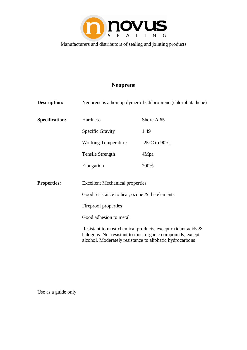

# **Neoprene**

| <b>Description:</b>   | Neoprene is a homopolymer of Chloroprene (chlorobutadiene)                                                                                                                           |                                             |
|-----------------------|--------------------------------------------------------------------------------------------------------------------------------------------------------------------------------------|---------------------------------------------|
| <b>Specification:</b> | Hardness                                                                                                                                                                             | Shore A 65                                  |
|                       | Specific Gravity                                                                                                                                                                     | 1.49                                        |
|                       | <b>Working Temperature</b>                                                                                                                                                           | -25 $\rm{^{\circ}C}$ to 90 $\rm{^{\circ}C}$ |
|                       | Tensile Strength                                                                                                                                                                     | 4Mpa                                        |
|                       | Elongation                                                                                                                                                                           | 200%                                        |
| <b>Properties:</b>    | <b>Excellent Mechanical properties</b>                                                                                                                                               |                                             |
|                       | Good resistance to heat, ozone $\&$ the elements<br>Fireproof properties<br>Good adhesion to metal                                                                                   |                                             |
|                       |                                                                                                                                                                                      |                                             |
|                       |                                                                                                                                                                                      |                                             |
|                       | Resistant to most chemical products, except oxidant acids &<br>halogens. Not resistant to most organic compounds, except<br>alcohol. Moderately resistance to aliphatic hydrocarbons |                                             |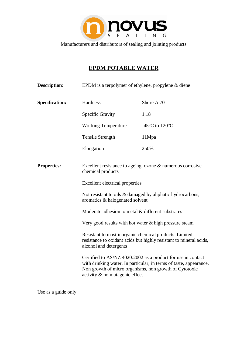

# **EPDM POTABLE WATER**

| <b>Description:</b>   | EPDM is a terpolymer of ethylene, propylene $&$ diene                                                                                                                                                                                                                                                                           |                                                                                                                                                                                                                                                                                                                                                                                                   |
|-----------------------|---------------------------------------------------------------------------------------------------------------------------------------------------------------------------------------------------------------------------------------------------------------------------------------------------------------------------------|---------------------------------------------------------------------------------------------------------------------------------------------------------------------------------------------------------------------------------------------------------------------------------------------------------------------------------------------------------------------------------------------------|
| <b>Specification:</b> | Hardness                                                                                                                                                                                                                                                                                                                        | Shore A 70                                                                                                                                                                                                                                                                                                                                                                                        |
|                       | Specific Gravity                                                                                                                                                                                                                                                                                                                | 1.18                                                                                                                                                                                                                                                                                                                                                                                              |
|                       | <b>Working Temperature</b>                                                                                                                                                                                                                                                                                                      | -45 $\rm{^{\circ}C}$ to 120 $\rm{^{\circ}C}$                                                                                                                                                                                                                                                                                                                                                      |
|                       | Tensile Strength                                                                                                                                                                                                                                                                                                                | 11Mpa                                                                                                                                                                                                                                                                                                                                                                                             |
|                       | Elongation                                                                                                                                                                                                                                                                                                                      | 250%                                                                                                                                                                                                                                                                                                                                                                                              |
| <b>Properties:</b>    | chemical products<br>Excellent electrical properties<br>aromatics & halogenated solvent<br>Moderate adhesion to metal & different substrates<br>Very good results with hot water & high pressure steam<br>Resistant to most inorganic chemical products. Limited<br>alcohol and detergents<br>activity $\&$ no mutagenic effect | Excellent resistance to ageing, ozone $\&$ numerous corrosive<br>Not resistant to oils & damaged by aliphatic hydrocarbons,<br>resistance to oxidant acids but highly resistant to mineral acids,<br>Certified to AS/NZ 4020:2002 as a product for use in contact<br>with drinking water. In particular, in terms of taste, appearance,<br>Non growth of micro organisms, non growth of Cytotoxic |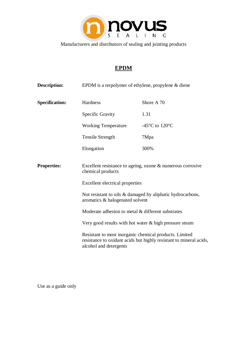

# **EPDM**

| <b>Description:</b>   | EPDM is a terpolymer of ethylene, propylene & diene                                                                                                                                                                    |                                                                    |
|-----------------------|------------------------------------------------------------------------------------------------------------------------------------------------------------------------------------------------------------------------|--------------------------------------------------------------------|
| <b>Specification:</b> | Hardness                                                                                                                                                                                                               | Shore A 70                                                         |
|                       | <b>Specific Gravity</b>                                                                                                                                                                                                | 1.31                                                               |
|                       | <b>Working Temperature</b>                                                                                                                                                                                             | -45 $\rm{^{\circ}C}$ to 120 $\rm{^{\circ}C}$                       |
|                       | Tensile Strength                                                                                                                                                                                                       | 7Mpa                                                               |
|                       | Elongation                                                                                                                                                                                                             | 300%                                                               |
| <b>Properties:</b>    | Excellent resistance to ageing, ozone $\&$ numerous corrosive<br>chemical products<br>Excellent electrical properties<br>Not resistant to oils & damaged by aliphatic hydrocarbons,<br>aromatics & halogenated solvent |                                                                    |
|                       | Moderate adhesion to metal & different substrates                                                                                                                                                                      |                                                                    |
|                       | Very good results with hot water $\&$ high pressure steam                                                                                                                                                              |                                                                    |
|                       | Resistant to most inorganic chemical products. Limited<br>alcohol and detergents                                                                                                                                       | resistance to oxidant acids but highly resistant to mineral acids, |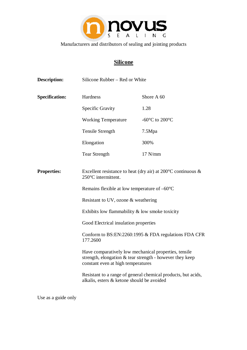

# **Silicone**

| <b>Description:</b>   | Silicone Rubber - Red or White                                                                                                                                                                 |                                                               |
|-----------------------|------------------------------------------------------------------------------------------------------------------------------------------------------------------------------------------------|---------------------------------------------------------------|
| <b>Specification:</b> | Hardness                                                                                                                                                                                       | Shore A 60                                                    |
|                       | Specific Gravity                                                                                                                                                                               | 1.28                                                          |
|                       | <b>Working Temperature</b>                                                                                                                                                                     | -60 $\rm{^{\circ}C}$ to 200 $\rm{^{\circ}C}$                  |
|                       | <b>Tensile Strength</b>                                                                                                                                                                        | 7.5Mpa                                                        |
|                       | Elongation                                                                                                                                                                                     | 300%                                                          |
|                       | <b>Tear Strength</b>                                                                                                                                                                           | $17$ N/mm                                                     |
| <b>Properties:</b>    | Excellent resistance to heat (dry air) at $200^{\circ}$ C continuous &<br>250°C intermittent.<br>Remains flexible at low temperature of $-60^{\circ}$ C<br>Resistant to UV, ozone & weathering |                                                               |
|                       | Exhibits low flammability $\&$ low smoke toxicity                                                                                                                                              |                                                               |
|                       | Good Electrical insulation properties                                                                                                                                                          |                                                               |
|                       | 177.2600                                                                                                                                                                                       | Conform to BS:EN:2260:1995 & FDA regulations FDA CFR          |
|                       | Have comparatively low mechanical properties, tensile<br>strength, elongation & tear strength - however they keep<br>constant even at high temperatures                                        |                                                               |
|                       | alkalis, esters & ketone should be avoided                                                                                                                                                     | Resistant to a range of general chemical products, but acids, |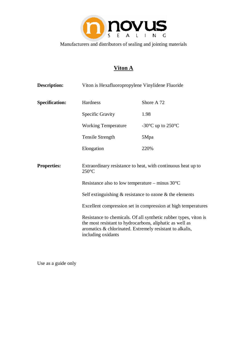

# **Viton A**

| <b>Description:</b>   | Viton is Hexafluoropropylene Vinylidene Fluoride                                                                                                                                                               |                                                               |
|-----------------------|----------------------------------------------------------------------------------------------------------------------------------------------------------------------------------------------------------------|---------------------------------------------------------------|
| <b>Specification:</b> | Hardness                                                                                                                                                                                                       | Shore A 72                                                    |
|                       | Specific Gravity                                                                                                                                                                                               | 1.98                                                          |
|                       | <b>Working Temperature</b>                                                                                                                                                                                     | -30 $\rm{^{\circ}C}$ up to 250 $\rm{^{\circ}C}$               |
|                       | Tensile Strength                                                                                                                                                                                               | 5Mpa                                                          |
|                       | Elongation                                                                                                                                                                                                     | 220%                                                          |
| <b>Properties:</b>    | Extraordinary resistance to heat, with continuous heat up to<br>$250^{\circ}$ C                                                                                                                                |                                                               |
|                       | Resistance also to low temperature – minus $30^{\circ}$ C                                                                                                                                                      |                                                               |
|                       | Self extinguishing $\&$ resistance to ozone $\&$ the elements                                                                                                                                                  |                                                               |
|                       |                                                                                                                                                                                                                | Excellent compression set in compression at high temperatures |
|                       | Resistance to chemicals. Of all synthetic rubber types, viton is<br>the most resistant to hydrocarbons, aliphatic as well as<br>aromatics & chlorinated. Extremely resistant to alkalis,<br>including oxidants |                                                               |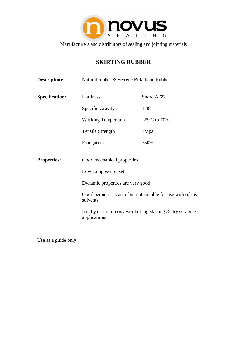

# **SKIRTING RUBBER**

| <b>Description:</b>   | Natural rubber & Styrene Butadiene Rubber                                                                                                                                          |                                                               |
|-----------------------|------------------------------------------------------------------------------------------------------------------------------------------------------------------------------------|---------------------------------------------------------------|
| <b>Specification:</b> | Hardness                                                                                                                                                                           | Shore A 65                                                    |
|                       | Specific Gravity                                                                                                                                                                   | 1.38                                                          |
|                       | <b>Working Temperature</b>                                                                                                                                                         | -25 $\rm{^{\circ}C}$ to 70 $\rm{^{\circ}C}$                   |
|                       | <b>Tensile Strength</b>                                                                                                                                                            | 7Mpa                                                          |
|                       | Elongation                                                                                                                                                                         | 350%                                                          |
| <b>Properties:</b>    | Good mechanical properties<br>Low compression set<br>Dynamic properties are very good<br>solvents<br>Ideally use is or conveyor belting skirting $\&$ dry scraping<br>applications | Good ozone resistance but not suitable for use with oils $\&$ |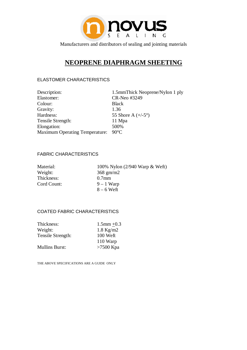

# **NEOPRENE DIAPHRAGM SHEETING**

#### ELASTOMER CHARACTERISTICS

| Description:                          | 1.5mmThick Neoprene/Nylon 1 ply |
|---------------------------------------|---------------------------------|
| Elastomer:                            | CR-Neo #3249                    |
| Colour:                               | <b>Black</b>                    |
| Gravity:                              | 1.36                            |
| Hardness:                             | 55 Shore A $(+/-5^{\circ})$     |
| Tensile Strength:                     | 11 Mpa                          |
| Elongation:                           | 500%                            |
| <b>Maximum Operating Temperature:</b> | $90^{\circ}$ C                  |

#### FABRIC CHARACTERISTICS

| Material:   | 100% Nylon (2/940 Warp & Weft) |
|-------------|--------------------------------|
| Weight:     | $368$ gm/m2                    |
| Thickness:  | $0.7$ mm                       |
| Cord Count: | $9 - 1$ Warp                   |
|             | $8-6$ Weft                     |

#### COATED FABRIC CHARACTERISTICS

| Thickness:            | $1.5$ mm $+0.3$ |
|-----------------------|-----------------|
| Weight:               | $1.8$ Kg/m2     |
| Tensile Strength:     | 100 Weft        |
|                       | 110 Warp        |
| <b>Mullins Burst:</b> | $>7500$ Kpa     |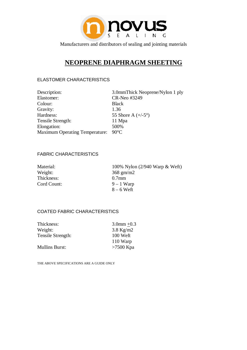

# **NEOPRENE DIAPHRAGM SHEETING**

#### ELASTOMER CHARACTERISTICS

| Description:                          | 3.0mmThick Neoprene/Nylon 1 ply |
|---------------------------------------|---------------------------------|
| Elastomer:                            | CR-Neo #3249                    |
| Colour:                               | <b>Black</b>                    |
| Gravity:                              | 1.36                            |
| Hardness:                             | 55 Shore A $(+/-5^{\circ})$     |
| Tensile Strength:                     | 11 Mpa                          |
| Elongation:                           | 500%                            |
| <b>Maximum Operating Temperature:</b> | $90^{\circ}$ C                  |
|                                       |                                 |

#### FABRIC CHARACTERISTICS

| Material:   | 100% Nylon (2/940 Warp & Weft) |
|-------------|--------------------------------|
| Weight:     | $368$ gm/m2                    |
| Thickness:  | $0.7$ mm                       |
| Cord Count: | $9 - 1$ Warp                   |
|             | $8-6$ Weft                     |

#### COATED FABRIC CHARACTERISTICS

| $3.0$ mm +0.3 |
|---------------|
| $3.8$ Kg/m2   |
| $100$ Weft    |
| 110 Warp      |
| $>7500$ Kpa   |
|               |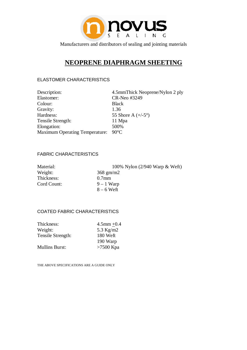

# **NEOPRENE DIAPHRAGM SHEETING**

#### ELASTOMER CHARACTERISTICS

| Description:                          | 4.5mmThick Neoprene/Nylon 2 ply |
|---------------------------------------|---------------------------------|
| Elastomer:                            | CR-Neo #3249                    |
| Colour:                               | <b>Black</b>                    |
| Gravity:                              | 1.36                            |
| Hardness:                             | 55 Shore A $(+/-5^{\circ})$     |
| Tensile Strength:                     | 11 Mpa                          |
| Elongation:                           | 500%                            |
| <b>Maximum Operating Temperature:</b> | $90^{\circ}$ C                  |

#### FABRIC CHARACTERISTICS

| Material:   | 100% Nylon (2/940 Warp & Weft) |
|-------------|--------------------------------|
| Weight:     | $368$ gm/m2                    |
| Thickness:  | $0.7$ mm                       |
| Cord Count: | $9 - 1$ Warp                   |
|             | $8-6$ Weft                     |

#### COATED FABRIC CHARACTERISTICS

| Thickness:            | $4.5$ mm $+0.4$ |
|-----------------------|-----------------|
| Weight:               | 5.3 Kg/m2       |
| Tensile Strength:     | 180 Weft        |
|                       | 190 Warp        |
| <b>Mullins Burst:</b> | $>7500$ Kpa     |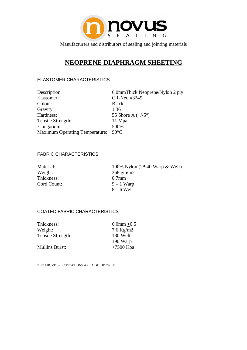

# **NEOPRENE DIAPHRAGM SHEETING**

#### ELASTOMER CHARACTERISTICS

| Description:                          | 6.0mmThick Neoprene/Nylon 2 ply |
|---------------------------------------|---------------------------------|
| Elastomer:                            | CR-Neo #3249                    |
| Colour:                               | <b>Black</b>                    |
| Gravity:                              | 1.36                            |
| Hardness:                             | 55 Shore A $(+/-5^{\circ})$     |
| Tensile Strength:                     | 11 Mpa                          |
| Elongation:                           | 500%                            |
| <b>Maximum Operating Temperature:</b> | $90^{\circ}$ C                  |
|                                       |                                 |

#### FABRIC CHARACTERISTICS

| Material:   | 100% Nylon (2/940 Warp & Weft) |
|-------------|--------------------------------|
| Weight:     | $368$ gm/m2                    |
| Thickness:  | $0.7$ mm                       |
| Cord Count: | $9 - 1$ Warp                   |
|             | $8-6$ Weft                     |

#### COATED FABRIC CHARACTERISTICS

| $6.0$ mm $+0.5$ |
|-----------------|
| $7.6$ Kg/m2     |
| 180 Weft        |
| 190 Warp        |
| $>7500$ Kpa     |
|                 |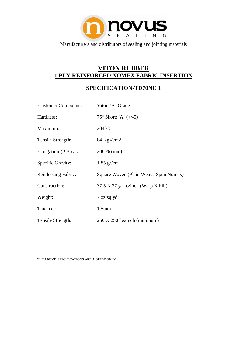

## **VITON RUBBER 1 PLY REINFORCED NOMEX FABRIC INSERTION**

## **SPECIFICATION-TD70NC 1**

| <b>Elastomer Compound:</b> | Viton 'A' Grade                                 |  |
|----------------------------|-------------------------------------------------|--|
| Hardness:                  | 75° Shore 'A' $(+/-5)$                          |  |
| Maximum:                   | $204^{\circ}$ C                                 |  |
| Tensile Strength:          | 84 Kgs/cm2                                      |  |
| Elongation @ Break:        | 200 % (min)                                     |  |
| Specific Gravity:          | $1.85$ gr/cm                                    |  |
| Reinforcing Fabric:        | Square Woven (Plain Weave Spun Nomex)           |  |
| Construction:              | 37.5 X 37 yarns/inch (Warp X Fill)              |  |
| Weight:                    | $7 \text{ oz/sq.yd}$                            |  |
| Thickness:                 | 1.5 <sub>mm</sub>                               |  |
| Tensile Strength:          | $250 \text{ X } 250 \text{ lbs/inch (minimum)}$ |  |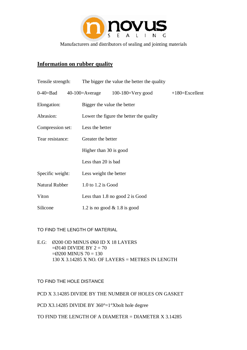

### **Information on rubber quality**

| Tensile strength: | The bigger the value the better the quality |                                        |                  |
|-------------------|---------------------------------------------|----------------------------------------|------------------|
| $0-40=$ Bad       |                                             | $40-100=$ Average $100-180=$ Very good | $+180=Excellent$ |
| Elongation:       | Bigger the value the better                 |                                        |                  |
| Abrasion:         | Lower the figure the better the quality     |                                        |                  |
| Compression set:  | Less the better                             |                                        |                  |
| Tear resistance:  | Greater the better                          |                                        |                  |
|                   | Higher than 30 is good                      |                                        |                  |
|                   | Less than 20 is bad                         |                                        |                  |
| Specific weight:  | Less weight the better                      |                                        |                  |
| Natural Rubber    | $1.0$ to $1.2$ is Good                      |                                        |                  |
| Viton             |                                             | Less than $1.8$ no good $2$ is Good    |                  |
| Silicone          | 1.2 is no good $& 1.8$ is good              |                                        |                  |

TO FIND THE LENGTH OF MATERIAL

E.G: Ø200 OD MINUS Ø60 ID X 18 LAYERS  $=$ Ø140 DIVIDE BY 2 = 70  $=$ Ø200 MINUS 70 = 130 130 X 3.14285 X NO. OF LAYERS = METRES IN LENGTH

TO FIND THE HOLE DISTANCE

PCD X 3.14285 DIVIDE BY THE NUMBER OF HOLES ON GASKET

PCD X3.14285 DIVIDE BY 360°=1°Xbolt hole degree

TO FIND THE LENGTH OF A DIAMETER = DIAMETER X 3.14285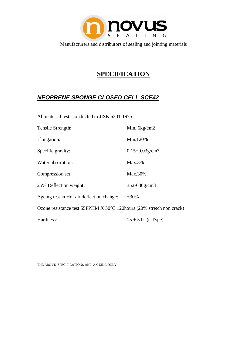

# **SPECIFICATION**

## *NEOPRENE SPONGE CLOSED CELL SCE42*

All material tests conducted to JISK 6301-1975

| Tensile Strength:                                                    | Min. 6kg/cm2         |  |
|----------------------------------------------------------------------|----------------------|--|
| Elongation:                                                          | Min.120%             |  |
| Specific gravity:                                                    | $0.15 + 0.03$ g/cm3  |  |
| Water absorption:                                                    | $Max.3\%$            |  |
| Compression set:                                                     | Max.30%              |  |
| 25% Deflection weight:                                               | 352-630g/cm3         |  |
| Ageing test in Hot air deflection change:                            | $+30\%$              |  |
| Ozone resistance test 55PPHM X 30°C 120hours (20% stretch non crack) |                      |  |
| Hardness:                                                            | $15 + 5$ hs (c Type) |  |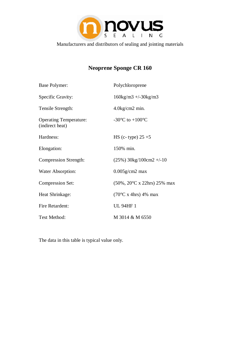

# **Neoprene Sponge CR 160**

| <b>Base Polymer:</b>                             | Polychloroprene                                       |
|--------------------------------------------------|-------------------------------------------------------|
| Specific Gravity:                                | $160\text{kg/m}3 + -30\text{kg/m}3$                   |
| Tensile Strength:                                | $4.0$ kg/cm2 min.                                     |
| <b>Operating Temperature:</b><br>(indirect heat) | -30 $\mathrm{^{\circ}C}$ to +100 $\mathrm{^{\circ}C}$ |
| Hardness:                                        | HS (c- type) $25 + 5$                                 |
| Elongation:                                      | 150% min.                                             |
| <b>Compression Strength:</b>                     | $(25\%)$ 30kg/100cm2 +/-10                            |
| Water Absorption:                                | $0.005$ g/cm2 max                                     |
| <b>Compression Set:</b>                          | $(50\%, 20^{\circ}$ C x 22hrs) 25% max                |
| Heat Shrinkage:                                  | $(70^{\circ}$ C x 4hrs) 4% max                        |
| <b>Fire Retardent:</b>                           | <b>UL 94HF1</b>                                       |
| Test Method:                                     | M 3014 & M 6550                                       |

The data in this table is typical value only.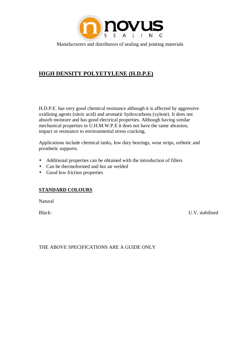

## **HIGH DENSITY POLYETYLENE (H.D.P.E)**

H.D.P.E. has very good chemical resistance although it is affected by aggressive oxidising agents (nitric acid) and aromatic hydrocarbons (xylene). It does not absorb moisture and has good electrical properties. Although having similar mechanical properties to U.H.M.W.P.E it does not have the same abrasion, impact or resistance to environmental stress cracking.

Applications include chemical tanks, low duty bearings, wear strips, orthotic and prosthetic supports.

- Additional properties can be obtained with the introduction of fillers
- Can be thermoformed and hot air welded
- Good low friction properties

#### **STANDARD COLOURS**

Natural

Black: U.V. stabilised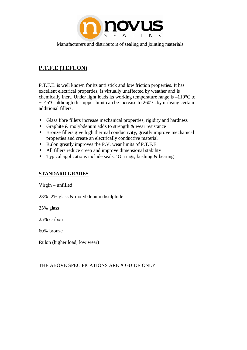

## **P.T.F.E (TEFLON)**

P.T.F.E. is well known for its anti stick and low friction properties. It has excellent electrical properties, is virtually unaffected by weather and is chemically inert. Under light loads its working temperature range is –110°C to  $+145^{\circ}$ C although this upper limit can be increase to 260 $^{\circ}$ C by utilising certain additional fillers.

- Glass fibre fillers increase mechanical properties, rigidity and hardness
- Graphite & molybdenum adds to strength & wear resistance
- Bronze fillers give high thermal conductivity, greatly improve mechanical properties and create an electrically conductive material
- Rulon greatly improves the P.V. wear limits of P.T.F.E
- All fillers reduce creep and improve dimensional stability
- Typical applications include seals, 'O' rings, bushing & bearing

#### **STANDARD GRADES**

Virgin – unfilled

23%=2% glass & molybdenum disulphide

25% glass

25% carbon

60% bronze

Rulon (higher load, low wear)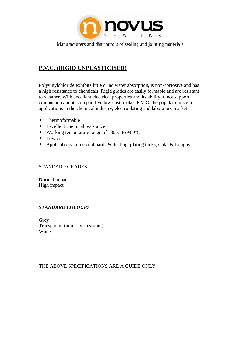

## **P.V.C. (RIGID UNPLASTICISED)**

Polyvinylchloride exhibits little or no water absorption, is non-corrosive and has a high resistance to chemicals. Rigid grades are easily formable and are resistant to weather. With excellent electrical properties and its ability to not support combustion and its comparative low cost, makes P.V.C. the popular choice for applications in the chemical industry, electroplating and laboratory market.

- Thermoformable
- Excellent chemical resistance
- Working temperature range of  $-30^{\circ}$ C to  $+60^{\circ}$ C
- Low cost
- Applications: fume cupboards  $\&$  ducting, plating tanks, sinks  $\&$  troughs

#### STANDARD GRADES

Normal impact High impact

#### *STANDARD COLOURS*

Grey Transparent (non U.V. resistant) **White**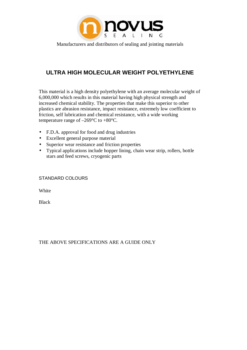

## **ULTRA HIGH MOLECULAR WEIGHT POLYETHYLENE**

This material is a high density polyethylene with an average molecular weight of 6,000,000 which results in this material having high physical strength and increased chemical stability. The properties that make this superior to other plastics are abrasion resistance, impact resistance, extremely low coefficient to friction, self lubrication and chemical resistance, with a wide working temperature range of  $-269^{\circ}$ C to  $+80^{\circ}$ C.

- F.D.A. approval for food and drug industries
- Excellent general purpose material
- Superior wear resistance and friction properties
- Typical applications include hopper lining, chain wear strip, rollers, bottle stars and feed screws, cryogenic parts

#### STANDARD COLOURS

**White** 

Black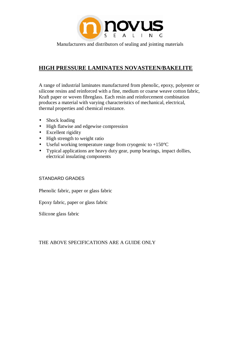

## **HIGH PRESSURE LAMINATES NOVASTEEN/BAKELITE**

A range of industrial laminates manufactured from phenolic, epoxy, polyester or silicone resins and reinforced with a fine, medium or coarse weave cotton fabric, Kraft paper or woven fibreglass. Each resin and reinforcement combination produces a material with varying characteristics of mechanical, electrical, thermal properties and chemical resistance.

- Shock loading
- High flatwise and edgewise compression
- Excellent rigidity
- High strength to weight ratio
- Useful working temperature range from cryogenic to  $+150^{\circ}$ C
- Typical applications are heavy duty gear, pump bearings, impact dollies, electrical insulating components

#### STANDARD GRADES

Phenolic fabric, paper or glass fabric

Epoxy fabric, paper or glass fabric

Silicone glass fabric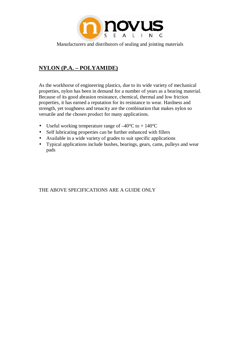

## **NYLON (P.A. – POLYAMIDE)**

As the workhorse of engineering plastics, due to its wide variety of mechanical properties, nylon has been in demand for a number of years as a bearing material. Because of its good abrasion resistance, chemical, thermal and low friction properties, it has earned a reputation for its resistance to wear. Hardness and strength, yet toughness and tenacity are the combination that makes nylon so versatile and the chosen product for many applications.

- Useful working temperature range of  $-40^{\circ}\text{C}$  to + 140 $^{\circ}\text{C}$
- Self lubricating properties can be further enhanced with fillers
- Available in a wide variety of grades to suit specific applications
- Typical applications include bushes, bearings, gears, cams, pulleys and wear pads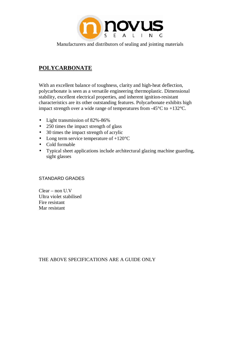

## **POLYCARBONATE**

With an excellent balance of toughness, clarity and high-heat deflection, polycarbonate is seen as a versatile engineering thermoplastic. Dimensional stability, excellent electrical properties, and inherent ignition-resistant characteristics are its other outstanding features. Polycarbonate exhibits high impact strength over a wide range of temperatures from -45°C to +132°C.

- Light transmission of 82%-86%
- 250 times the impact strength of glass
- 30 times the impact strength of acrylic
- Long term service temperature of  $+120^{\circ}$ C
- Cold formable
- Typical sheet applications include architectural glazing machine guarding, sight glasses

#### STANDARD GRADES

Clear – non U.V Ultra violet stabilised Fire resistant Mar resistant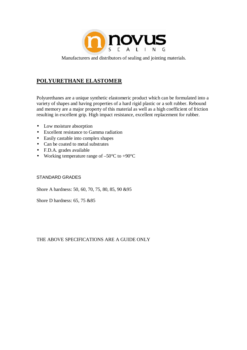

#### **POLYURETHANE ELASTOMER**

Polyurethanes are a unique synthetic elastomeric product which can be formulated into a variety of shapes and having properties of a hard rigid plastic or a soft rubber. Rebound and memory are a major property of this material as well as a high coefficient of friction resulting in excellent grip. High impact resistance, excellent replacement for rubber.

- Low moisture absorption
- Excellent resistance to Gamma radiation
- Easily castable into complex shapes
- Can be coated to metal substrates
- F.D.A. grades available
- Working temperature range of  $-50^{\circ}$ C to  $+90^{\circ}$ C

#### STANDARD GRADES

Shore A hardness: 50, 60, 70, 75, 80, 85, 90 &95

Shore D hardness: 65, 75 &85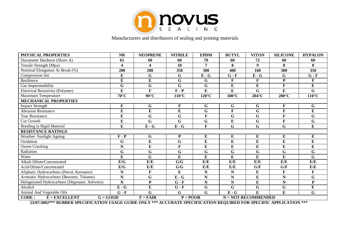

| PHYSICAL PROPERTIES                            | <b>NR</b>               | <b>NEOPRENE</b>       | <b>NITRILE</b>        | <b>EPDM</b>             | <b>BUTYL</b>          | <b>VITON</b>     | <b>SILICONE</b>         | <b>HYPALON</b>  |  |
|------------------------------------------------|-------------------------|-----------------------|-----------------------|-------------------------|-----------------------|------------------|-------------------------|-----------------|--|
| Durometer Hardness (Shore A)                   | 65                      | 60                    | 60                    | 70                      | 60                    | 72               | 60                      | 60              |  |
| Tensile Strength (Mpa)                         | 4                       | 4                     | 10                    | $\overline{7}$          | 8                     | $\boldsymbol{Q}$ | 8                       | 8               |  |
| Nominal Elongation At Break (%)                | 200                     | 200                   | 350                   | 300                     | 400                   | 160              | 300                     | 350             |  |
| <b>Compression Set</b>                         | $\overline{E}$          | $\mathbf G$           | G                     | $\overline{E-G}$        | $G - F$               | $E - G$          | $\overline{G}$          | $G - F$         |  |
| Resilience                                     | E                       | $\bf{E}$              | G                     | G                       | F                     | $\mathbf{F}$     | ${\bf P}$               | F               |  |
| Gas Impermeability                             | G                       | G                     | G                     | $\mathbf G$             | ${\bf E}$             | E                | $\mathbf F$             | E               |  |
| Electrical Resistivity (Polymer)               | $\bf{E}$                | $\mathbf{F}$          | $F - P$               | ${\bf E}$               | ${\bf E}$             | G                | ${\bf E}$               | G               |  |
| Maximum Temperature                            | $70^{\circ}$ C          | $90^{\circ}$ C        | $110^{\circ}$ C       | $120^{\circ}$ C         | $100^{\circ}$ C       | $204^{\circ}$ C  | $200^{\circ}$ C         | $110^{\circ}$ C |  |
| <b>MECHANICAL PROPERTIES</b>                   |                         |                       |                       |                         |                       |                  |                         |                 |  |
| <b>Impact Strength</b>                         | $\bf{E}$                | $\mathbf G$           | F                     | $\mathbf G$             | $\mathbf G$           | $\mathbf G$      | $\mathbf F$             | $\mathbf G$     |  |
| <b>Abrasion Resistance</b>                     | $\bf{E}$                | $\bf{E}$              | ${\bf E}$             | G                       | $\mathbf{F}$          | G                | $\mathbf F$             | E               |  |
| <b>Tear Resistance</b>                         | $\overline{E}$          | G                     | G                     | $\mathbf F$             | G                     | G                | F                       | G               |  |
| <b>Cut Growth</b>                              | $\bf{E}$                | G                     | G                     | $\mathbf G$             | ${\bf E}$             | G                | $\overline{\mathbf{F}}$ | G               |  |
| <b>Bonding to Rigid Material</b>               | $\bf{E}$                | ${\bf E}$ - ${\bf G}$ | $E - G$               | $\mathbf{F}$            | G                     | G                | $\mathbf G$             | ${\bf E}$       |  |
| <b>RESISTANCE RATINGS</b>                      |                         |                       |                       |                         |                       |                  |                         |                 |  |
| Weather- Sunlight Ageing                       | $F - P$                 | $\mathbf G$           | ${\bf P}$             | ${\bf E}$               | ${\bf E}$             | ${\bf E}$        | ${\bf E}$               | ${\bf E}$       |  |
| Oxidation                                      | G                       | $\bf{E}$              | G                     | $\bf{E}$                | ${\bf E}$             | E                | E                       | E               |  |
| <b>Ozone Cracking</b>                          | $\overline{\mathbf{N}}$ | ${\bf E}$             | F                     | $\bf{E}$                | ${\bf E}$             | ${\bf E}$        | $\overline{E}$          | E               |  |
| Radiation                                      | G                       | $\mathbf G$           | G                     | $\mathbf G$             | G                     | G                | ${\bf G}$               | G               |  |
| Water                                          | E                       | $\mathbf G$           | E                     | E                       | $\bf{E}$              | $\bf{E}$         | E                       | $\mathbf G$     |  |
| Alkali-Dilute/Concentrated                     | E/G                     | E/E                   | G/G                   | E/E                     | E/E                   | E/E              | E/E                     | E/E             |  |
| Acid-Dilute/Concentrated                       | $\mathbf{E}/\mathbf{G}$ | E/E                   | G/G                   | E/E                     | E/E                   | G/F              | G/F                     | E/E             |  |
| Aliphatic Hydrocarbons (Petrol, Kerosene)      | N                       | $\mathbf{F}$          | E                     | $\mathbf N$             | ${\bf N}$             | ${\bf E}$        | $\mathbf F$             | $\mathbf F$     |  |
| Aromatic Hydrocarbons (Benzene, Toluene)       | N                       | G                     | ${\bf E}$ - ${\bf G}$ | $\mathbf N$             | $\overline{\bf N}$    | $\bf{E}$         | N                       | G               |  |
| Halogenated Hydrocarbons (Degreaser, Solvents) | $\mathbf N$             | ${\bf P}$             | $G - F$               | ${\bf N}$               | $\mathbf N$           | ${\bf E}$        | ${\bf N}$               | ${\bf P}$       |  |
| Alcohol                                        | ${\bf E}$ - ${\bf G}$   | ${\bf E}$             | $G - F$               | $\overline{\mathbf{G}}$ | G                     | G                | $\mathbf G$             | E               |  |
| Animal And Vegetable Oils                      | $G - F$                 | G                     | G                     | $\mathbf G$             | $E - G$               | E                | E                       | G               |  |
| CODE:<br>$E = EXCELLENT$<br>$G = GOD$          |                         | $F = FAIR$            | $P = POOR$            |                         | $N = NOT RECOMMENDED$ |                  |                         |                 |  |

**23/07/2002\*\*\* RUBBER SPECIFICATION USAGE GUIDE ONLY \*\*\* ACCURATE SPECIFICATION REQUIRED FOR SPECIFIC APPLICATION \*\*\***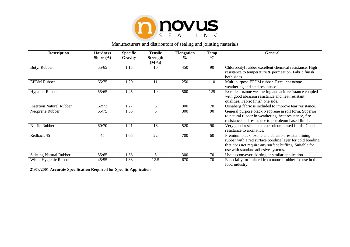

| <b>Description</b>              | <b>Hardness</b> | <b>Specific</b> | <b>Tensile</b>           | <b>Elongation</b> | <b>Temp</b>     | <b>General</b>                                                                                                                                                                                                   |
|---------------------------------|-----------------|-----------------|--------------------------|-------------------|-----------------|------------------------------------------------------------------------------------------------------------------------------------------------------------------------------------------------------------------|
|                                 | Shore $(A)$     | Gravity         | <b>Strength</b><br>(MPa) | $\frac{0}{0}$     | $\rm ^{\circ}C$ |                                                                                                                                                                                                                  |
| <b>Butyl Rubber</b>             | 55/65           | 1.15            | 10                       | 450               | 90              | Chlorobutyl rubber excellent chemical resistance. High<br>resistance to temperature & permeation. Fabric finish<br>both sides.                                                                                   |
| <b>EPDM</b> Rubber              | 65/75           | 1.20            | 11                       | 250               | 110             | Multi purpose EPDM rubber. Excellent ozone<br>weathering and acid resistance                                                                                                                                     |
| <b>Hypalon Rubber</b>           | 55/65           | 1.45            | 10                       | 500               | 125             | Excellent ozone weathering and acid resistance coupled<br>with good abrasion resistance and heat resistant<br>qualities. Fabric finish one side.                                                                 |
| <b>Insertion Natural Rubber</b> | 62/72           | 1.27            | 6                        | 300               | 70              | Osnaberg fabric is included to improve tear resistance.                                                                                                                                                          |
| Neoprene Rubber                 | 65/75           | 1.55            | 6                        | 300               | 90              | General purpose black Neoprene in roll form. Superior<br>to natural rubber in weathering, heat resistance, fire<br>resistance and resistance to petroleum based fluids.                                          |
| Nitrile Rubber                  | 60/70           | 1.21            | 16                       | 520               | 90              | Very good resistance to petroleum based fluids. Good<br>resistance to aromatics.                                                                                                                                 |
| Redback 45                      | 45              | 1.05            | 22                       | 700               | 60              | Premium black, ozone and abrasion resistant lining<br>rubber with a red surface bonding layer for cold bonding<br>that does not require any surface buffing. Suitable for<br>use with standard adhesive systems. |
| <b>Skirting Natural Rubber</b>  | 55/65           | 1.33            | $\overline{\mathbf{5}}$  | 300               | 70              | Use as conveyor skirting or similar application.                                                                                                                                                                 |
| White Hygienic Rubber           | 45/55           | 1.38            | 12.5                     | 670               | 70              | Especially formulated from natural rubber for use in the<br>food industry.                                                                                                                                       |

**21/08/2001 Accurate Specification Required for Specific Application**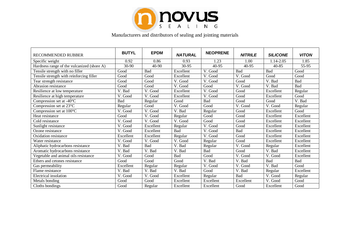

| <b>RECOMMENDED RUBBER</b>                  | <b>BUTYL</b> | <b>EPDM</b> | <b>NATURAL</b> | <b>NEOPRENE</b> | <b>NITRILE</b> | <b>SILICONE</b> | <b>VITON</b> |
|--------------------------------------------|--------------|-------------|----------------|-----------------|----------------|-----------------|--------------|
| Specific weight                            | 0.92         | 0.86        | 0.93           | 1.23            | 1.00           | 1.14-2.05       | 1.85         |
| Hardness range of the vulcanized (shore A) | $30-90$      | $40-90$     | 30-95          | 40-95           | 40-95          | 40-85           | $55-95$      |
| Tensile strength with no filler            | Good         | Bad         | Excellent      | V. Good         | Bad            | Bad             | Good         |
| Tensile strength with reinforcing filler   | Good         | Good        | Excellent      | V. Good         | V. Good        | Good            | Good         |
| Tear strength resistance                   | Good         | Good        | V. Good        | V. Good         | Good           | V. Bad          | Bad          |
| Abrasion resistance                        | Good         | Good        | V. Good        | Good            | V. Good        | V. Bad          | Bad          |
| Resilience at low temperature              | V. Bad       | V. Good     | Excellent      | V. Good         | Good           | Excellent       | Regular      |
| Resilience at high temperature             | V. Good      | V. Good     | Excellent      | V. Good         | Good           | Excellent       | Good         |
| Compression set at -40°C                   | Bad          | Regular     | Good           | Bad             | Good           | Good            | V. Bad       |
| Compression set at 23°C                    | Regular      | Good        | V. Good        | Good            | V. Good        | V. Good         | Regular      |
| Compression set at 100°C                   | V. Good      | V. Good     | V. Bad         | Regular         | Good           | Excellent       | Good         |
| Heat resistance                            | Good         | V. Good     | Regular        | Good            | Good           | Excellent       | Excellent    |
| Cold resistance                            | V. Good      | V. Good     | V. Good        | Good            | Good           | Excellent       | Excellent    |
| Sunlight resistance                        | V. Good      | Excellent   | Regular        | V. Good         | Good           | Excellent       | Excellent    |
| Ozone resistance                           | V. Good      | Excellent   | Bad            | V. Good         | Bad            | Excellent       | Excellent    |
| Oxidation resistance                       | Excellent    | Excellent   | Regular        | V. Good         | Good           | Excellent       | Excellent    |
| Water resistance                           | V. Good      | V. Good     | V. Good        | Regular         | Good           | Excellent       | Excellent    |
| Aliphatic hydrocarbons resistance          | V. Bad       | Bad         | V. Bad         | Regular         | V. Good        | Regular         | Excellent    |
| Aromatic hydrocarbons resistance           | V. Bad       | V. Bad      | V. Bad         | Bad             | Good           | V. Bad          | Excellent    |
| Vegetable and animal oils resistance       | V. Good      | Good        | Bad            | Good            | V. Good        | V. Good         | Excellent    |
| Ethers and cetones resistance              | Good         | Good        | Good           | V. Bad          | V. Bad         | Bad             | Bad          |
| Gas permeability                           | Excellent    | Regular     | Regular        | V. Good         | V. Good        | V. Bad          | Good         |
| Flame resistance                           | V. Bad       | V. Bad      | V. Bad         | Good            | V. Bad         | Regular         | Excellent    |
| Electrical insolation                      | V. Good      | V. Good     | Excellent      | Regular         | Bad            | V. Good         | Regular      |
| Metals bonding                             | Good         | Good        | Excellent      | Excellent       | Excellent      | V. Good         | Good         |
| Cloths bondings                            | Good         | Regular     | Excellent      | Excellent       | Good           | Excellent       | Good         |